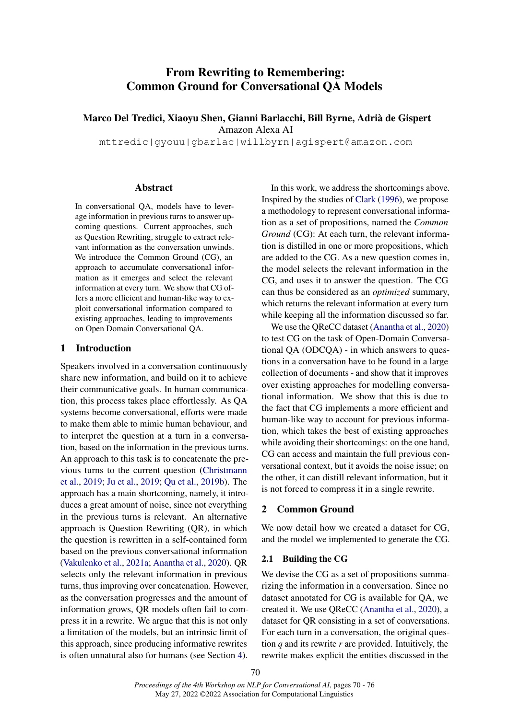# From Rewriting to Remembering: Common Ground for Conversational QA Models

Marco Del Tredici, Xiaoyu Shen, Gianni Barlacchi, Bill Byrne, Adrià de Gispert

Amazon Alexa AI

mttredic|gyouu|gbarlac|willbyrn|agispert@amazon.com

## Abstract

In conversational QA, models have to leverage information in previous turns to answer upcoming questions. Current approaches, such as Question Rewriting, struggle to extract relevant information as the conversation unwinds. We introduce the Common Ground (CG), an approach to accumulate conversational information as it emerges and select the relevant information at every turn. We show that CG offers a more efficient and human-like way to exploit conversational information compared to existing approaches, leading to improvements on Open Domain Conversational QA.

### 1 Introduction

Speakers involved in a conversation continuously share new information, and build on it to achieve their communicative goals. In human communication, this process takes place effortlessly. As QA systems become conversational, efforts were made to make them able to mimic human behaviour, and to interpret the question at a turn in a conversation, based on the information in the previous turns. An approach to this task is to concatenate the previous turns to the current question [\(Christmann](#page-4-0) [et al.,](#page-4-0) [2019;](#page-4-0) [Ju et al.,](#page-4-1) [2019;](#page-4-1) [Qu et al.,](#page-4-2) [2019b\)](#page-4-2). The approach has a main shortcoming, namely, it introduces a great amount of noise, since not everything in the previous turns is relevant. An alternative approach is Question Rewriting (QR), in which the question is rewritten in a self-contained form based on the previous conversational information [\(Vakulenko et al.,](#page-4-3) [2021a;](#page-4-3) [Anantha et al.,](#page-4-4) [2020\)](#page-4-4). QR selects only the relevant information in previous turns, thus improving over concatenation. However, as the conversation progresses and the amount of information grows, QR models often fail to compress it in a rewrite. We argue that this is not only a limitation of the models, but an intrinsic limit of this approach, since producing informative rewrites is often unnatural also for humans (see Section [4\)](#page-2-0).

In this work, we address the shortcomings above. Inspired by the studies of [Clark](#page-4-5) [\(1996\)](#page-4-5), we propose a methodology to represent conversational information as a set of propositions, named the *Common Ground* (CG): At each turn, the relevant information is distilled in one or more propositions, which are added to the CG. As a new question comes in, the model selects the relevant information in the CG, and uses it to answer the question. The CG can thus be considered as an *optimized* summary, which returns the relevant information at every turn while keeping all the information discussed so far.

We use the QReCC dataset [\(Anantha et al.,](#page-4-4) [2020\)](#page-4-4) to test CG on the task of Open-Domain Conversational QA (ODCQA) - in which answers to questions in a conversation have to be found in a large collection of documents - and show that it improves over existing approaches for modelling conversational information. We show that this is due to the fact that CG implements a more efficient and human-like way to account for previous information, which takes the best of existing approaches while avoiding their shortcomings: on the one hand, CG can access and maintain the full previous conversational context, but it avoids the noise issue; on the other, it can distill relevant information, but it is not forced to compress it in a single rewrite.

## 2 Common Ground

We now detail how we created a dataset for CG, and the model we implemented to generate the CG.

## 2.1 Building the CG

We devise the CG as a set of propositions summarizing the information in a conversation. Since no dataset annotated for CG is available for QA, we created it. We use QReCC [\(Anantha et al.,](#page-4-4) [2020\)](#page-4-4), a dataset for QR consisting in a set of conversations. For each turn in a conversation, the original question *q* and its rewrite *r* are provided. Intuitively, the rewrite makes explicit the entities discussed in the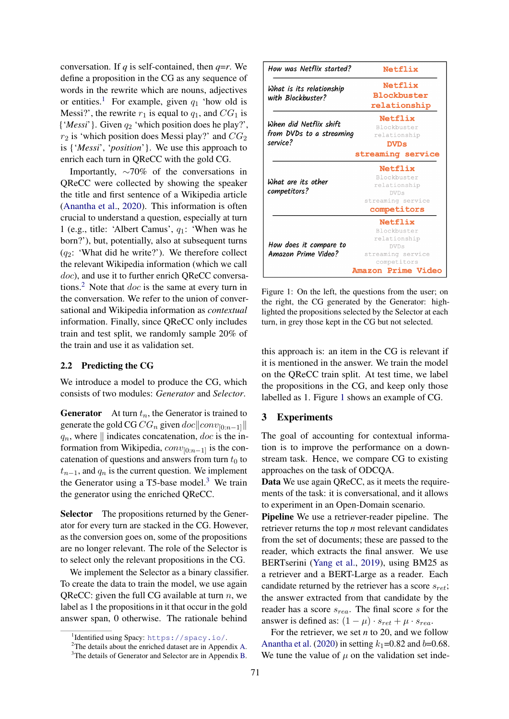conversation. If *q* is self-contained, then *q*=*r*. We define a proposition in the CG as any sequence of words in the rewrite which are nouns, adjectives or entities.<sup>[1](#page-1-0)</sup> For example, given  $q_1$  'how old is Messi?', the rewrite  $r_1$  is equal to  $q_1$ , and  $CG_1$  is {'*Messi*'}. Given q<sup>2</sup> 'which position does he play?',  $r_2$  is 'which position does Messi play?' and  $CG_2$ is {'*Messi*', '*position*'}. We use this approach to enrich each turn in QReCC with the gold CG.

Importantly, ∼70% of the conversations in QReCC were collected by showing the speaker the title and first sentence of a Wikipedia article [\(Anantha et al.,](#page-4-4) [2020\)](#page-4-4). This information is often crucial to understand a question, especially at turn 1 (e.g., title: 'Albert Camus',  $q_1$ : 'When was he born?'), but, potentially, also at subsequent turns  $(q_2$ : 'What did he write?'). We therefore collect the relevant Wikipedia information (which we call doc), and use it to further enrich QReCC conversa-tions.<sup>[2](#page-1-1)</sup> Note that  $doc$  is the same at every turn in the conversation. We refer to the union of conversational and Wikipedia information as *contextual* information. Finally, since QReCC only includes train and test split, we randomly sample 20% of the train and use it as validation set.

#### 2.2 Predicting the CG

We introduce a model to produce the CG, which consists of two modules: *Generator* and *Selector*.

**Generator** At turn  $t_n$ , the Generator is trained to generate the gold CG  $CG_n$  given  $doc||conv_{[0:n-1]}||$  $q_n$ , where  $\parallel$  indicates concatenation, doc is the information from Wikipedia,  $conv_{[0:n-1]}$  is the concatenation of questions and answers from turn  $t_0$  to  $t_{n-1}$ , and  $q_n$  is the current question. We implement the Generator using a T5-base model.<sup>[3](#page-1-2)</sup> We train the generator using the enriched QReCC.

Selector The propositions returned by the Generator for every turn are stacked in the CG. However, as the conversion goes on, some of the propositions are no longer relevant. The role of the Selector is to select only the relevant propositions in the CG.

We implement the Selector as a binary classifier. To create the data to train the model, we use again QReCC: given the full CG available at turn  $n$ , we label as 1 the propositions in it that occur in the gold answer span, 0 otherwise. The rationale behind

<span id="page-1-3"></span>

Figure 1: On the left, the questions from the user; on the right, the CG generated by the Generator: highlighted the propositions selected by the Selector at each turn, in grey those kept in the CG but not selected.

this approach is: an item in the CG is relevant if it is mentioned in the answer. We train the model on the QReCC train split. At test time, we label the propositions in the CG, and keep only those labelled as 1. Figure [1](#page-1-3) shows an example of CG.

## 3 Experiments

The goal of accounting for contextual information is to improve the performance on a downstream task. Hence, we compare CG to existing approaches on the task of ODCQA.

Data We use again QReCC, as it meets the requirements of the task: it is conversational, and it allows to experiment in an Open-Domain scenario.

Pipeline We use a retriever-reader pipeline. The retriever returns the top *n* most relevant candidates from the set of documents; these are passed to the reader, which extracts the final answer. We use BERTserini [\(Yang et al.,](#page-4-7) [2019\)](#page-4-7), using BM25 as a retriever and a BERT-Large as a reader. Each candidate returned by the retriever has a score  $s_{ret}$ ; the answer extracted from that candidate by the reader has a score  $s_{rea}$ . The final score s for the answer is defined as:  $(1 - \mu) \cdot s_{ret} + \mu \cdot s_{rea}.$ 

For the retriever, we set *n* to 20, and we follow [Anantha et al.](#page-4-4) [\(2020\)](#page-4-4) in setting  $k_1$ =0.82 and b=0.68. We tune the value of  $\mu$  on the validation set inde-

<span id="page-1-0"></span><sup>1</sup> Identified using Spacy: <https://spacy.io/>.

<span id="page-1-1"></span><sup>2</sup>The details about the enriched dataset are in Appendix [A.](#page-4-6)

<span id="page-1-2"></span><sup>&</sup>lt;sup>3</sup>The details of Generator and Selector are in Appendix [B.](#page-5-0)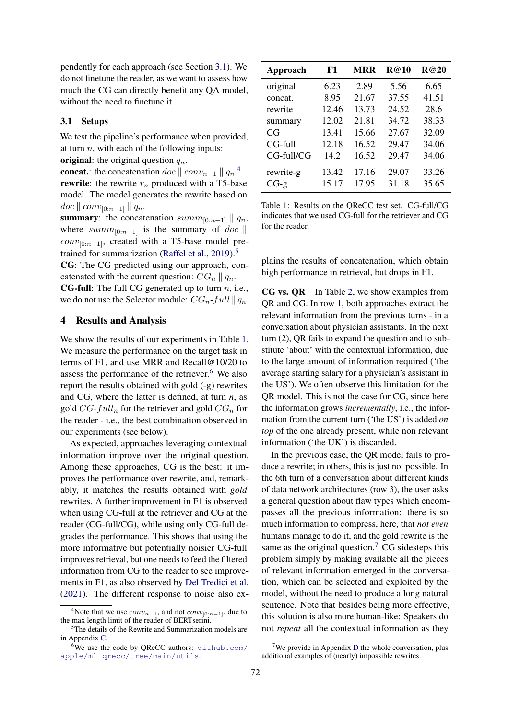pendently for each approach (see Section [3.1\)](#page-2-1). We do not finetune the reader, as we want to assess how much the CG can directly benefit any QA model, without the need to finetune it.

## <span id="page-2-1"></span>3.1 Setups

We test the pipeline's performance when provided, at turn  $n$ , with each of the following inputs:

original: the original question  $q_n$ .

**concat.**: the concatenation  $doc \parallel conv_{n-1} \parallel q_n$ .<sup>[4](#page-2-2)</sup> **rewrite**: the rewrite  $r_n$  produced with a T5-base model. The model generates the rewrite based on  $doc \parallel conv_{[0:n-1]} \parallel q_n.$ 

summary: the concatenation summ<sub>[0:n−1]</sub>  $\parallel$  q<sub>n</sub>, where summ<sub>[0:n−1]</sub> is the summary of doc  $\parallel$  $conv_{[0:n-1]}$ , created with a T5-base model pre-trained for summarization [\(Raffel et al.,](#page-4-8)  $2019$ ).<sup>[5](#page-2-3)</sup>

CG: The CG predicted using our approach, concatenated with the current question:  $CG_n || q_n$ .

**CG-full:** The full CG generated up to turn  $n$ , i.e., we do not use the Selector module:  $CG_n$ -full  $||q_n$ .

## <span id="page-2-0"></span>4 Results and Analysis

We show the results of our experiments in Table [1.](#page-2-4) We measure the performance on the target task in terms of F1, and use MRR and Recall@10/20 to assess the performance of the retriever. $6$  We also report the results obtained with gold (-g) rewrites and CG, where the latter is defined, at turn *n*, as gold  $CG-full_n$  for the retriever and gold  $CG_n$  for the reader - i.e., the best combination observed in our experiments (see below).

As expected, approaches leveraging contextual information improve over the original question. Among these approaches, CG is the best: it improves the performance over rewrite, and, remarkably, it matches the results obtained with *gold* rewrites. A further improvement in F1 is observed when using CG-full at the retriever and CG at the reader (CG-full/CG), while using only CG-full degrades the performance. This shows that using the more informative but potentially noisier CG-full improves retrieval, but one needs to feed the filtered information from CG to the reader to see improvements in F1, as also observed by [Del Tredici et al.](#page-4-9) [\(2021\)](#page-4-9). The different response to noise also ex-

<span id="page-2-4"></span>

| Approach   | F1    | <b>MRR</b> | R@10  | R@20  |
|------------|-------|------------|-------|-------|
| original   | 6.23  | 2.89       | 5.56  | 6.65  |
| concat.    | 8.95  | 21.67      | 37.55 | 41.51 |
| rewrite    | 12.46 | 13.73      | 24.52 | 28.6  |
| summary    | 12.02 | 21.81      | 34.72 | 38.33 |
| CG         | 13.41 | 15.66      | 27.67 | 32.09 |
| CG-full    | 12.18 | 16.52      | 29.47 | 34.06 |
| CG-full/CG | 14.2  | 16.52      | 29.47 | 34.06 |
| rewrite-g  | 13.42 | 17.16      | 29.07 | 33.26 |
| $CG-g$     | 15.17 | 17.95      | 31.18 | 35.65 |

Table 1: Results on the QReCC test set. CG-full/CG indicates that we used CG-full for the retriever and CG for the reader.

plains the results of concatenation, which obtain high performance in retrieval, but drops in F1.

CG vs. QR In Table [2,](#page-3-0) we show examples from QR and CG. In row 1, both approaches extract the relevant information from the previous turns - in a conversation about physician assistants. In the next turn (2), QR fails to expand the question and to substitute 'about' with the contextual information, due to the large amount of information required ('the average starting salary for a physician's assistant in the US'). We often observe this limitation for the QR model. This is not the case for CG, since here the information grows *incrementally*, i.e., the information from the current turn ('the US') is added *on top* of the one already present, while non relevant information ('the UK') is discarded.

In the previous case, the QR model fails to produce a rewrite; in others, this is just not possible. In the 6th turn of a conversation about different kinds of data network architectures (row 3), the user asks a general question about flaw types which encompasses all the previous information: there is so much information to compress, here, that *not even* humans manage to do it, and the gold rewrite is the same as the original question.<sup>[7](#page-2-6)</sup> CG sidesteps this problem simply by making available all the pieces of relevant information emerged in the conversation, which can be selected and exploited by the model, without the need to produce a long natural sentence. Note that besides being more effective, this solution is also more human-like: Speakers do not *repeat* all the contextual information as they

<span id="page-2-2"></span><sup>&</sup>lt;sup>4</sup>Note that we use  $conv_{n-1}$ , and not  $conv_{[0:n-1]}$ , due to the max length limit of the reader of BERTserini.

<span id="page-2-3"></span><sup>&</sup>lt;sup>5</sup>The details of the Rewrite and Summarization models are in Appendix [C.](#page-5-1)

<span id="page-2-5"></span> $6$ We use the code by QReCC authors:  $q$ ithub.com/ [apple/ml-qrecc/tree/main/utils](github.com/apple/ml-qrecc/tree/main/utils).

<span id="page-2-6"></span>We provide in Appendix [D](#page-5-2) the whole conversation, plus additional examples of (nearly) impossible rewrites.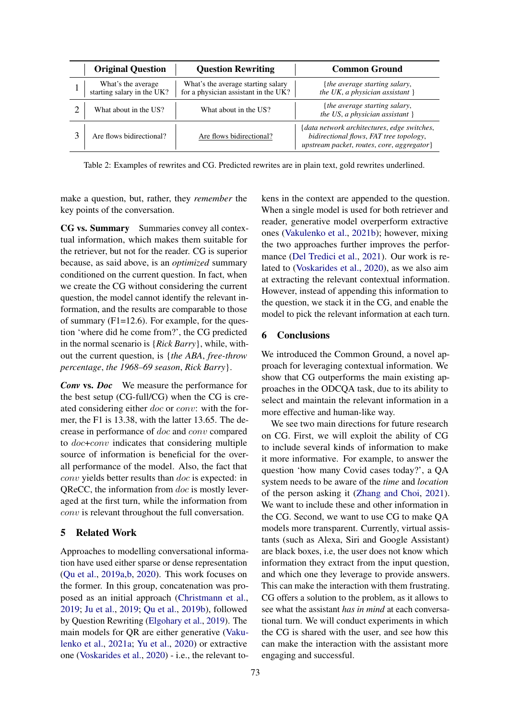<span id="page-3-0"></span>

| <b>Original Question</b>                         | <b>Question Rewriting</b>                                                  | <b>Common Ground</b>                                                                                                                  |
|--------------------------------------------------|----------------------------------------------------------------------------|---------------------------------------------------------------------------------------------------------------------------------------|
| What's the average<br>starting salary in the UK? | What's the average starting salary<br>for a physician assistant in the UK? | { <i>the average starting salary</i> ,<br>the UK, a physician assistant $\}$                                                          |
| What about in the US?                            | What about in the US?                                                      | { <i>the average starting salary</i> ,<br>the US, a physician assistant $\}$                                                          |
| Are flows bidirectional?                         | Are flows bidirectional?                                                   | {data network architectures, edge switches,<br>bidirectional flows, FAT tree topology,<br>upstream packet, routes, core, aggregator } |

Table 2: Examples of rewrites and CG. Predicted rewrites are in plain text, gold rewrites underlined.

make a question, but, rather, they *remember* the key points of the conversation.

CG vs. Summary Summaries convey all contextual information, which makes them suitable for the retriever, but not for the reader. CG is superior because, as said above, is an *optimized* summary conditioned on the current question. In fact, when we create the CG without considering the current question, the model cannot identify the relevant information, and the results are comparable to those of summary (F1=12.6). For example, for the question 'where did he come from?', the CG predicted in the normal scenario is {*Rick Barry*}, while, without the current question, is {*the ABA*, *free-throw percentage*, *the 1968–69 season*, *Rick Barry*}.

*Conv* vs. *Doc* We measure the performance for the best setup (CG-full/CG) when the CG is created considering either doc or conv: with the former, the F1 is 13.38, with the latter 13.65. The decrease in performance of doc and conv compared to doc+conv indicates that considering multiple source of information is beneficial for the overall performance of the model. Also, the fact that conv yields better results than doc is expected: in QReCC, the information from doc is mostly leveraged at the first turn, while the information from conv is relevant throughout the full conversation.

## 5 Related Work

Approaches to modelling conversational information have used either sparse or dense representation [\(Qu et al.,](#page-4-10) [2019a,](#page-4-10)[b,](#page-4-2) [2020\)](#page-4-11). This work focuses on the former. In this group, concatenation was proposed as an initial approach [\(Christmann et al.,](#page-4-0) [2019;](#page-4-0) [Ju et al.,](#page-4-1) [2019;](#page-4-1) [Qu et al.,](#page-4-2) [2019b\)](#page-4-2), followed by Question Rewriting [\(Elgohary et al.,](#page-4-12) [2019\)](#page-4-12). The main models for QR are either generative [\(Vaku](#page-4-3)[lenko et al.,](#page-4-3) [2021a;](#page-4-3) [Yu et al.,](#page-4-13) [2020\)](#page-4-13) or extractive one [\(Voskarides et al.,](#page-4-14) [2020\)](#page-4-14) - i.e., the relevant tokens in the context are appended to the question. When a single model is used for both retriever and reader, generative model overperform extractive ones [\(Vakulenko et al.,](#page-4-15) [2021b\)](#page-4-15); however, mixing the two approaches further improves the performance [\(Del Tredici et al.,](#page-4-9) [2021\)](#page-4-9). Our work is related to [\(Voskarides et al.,](#page-4-14) [2020\)](#page-4-14), as we also aim at extracting the relevant contextual information. However, instead of appending this information to the question, we stack it in the CG, and enable the model to pick the relevant information at each turn.

## 6 Conclusions

We introduced the Common Ground, a novel approach for leveraging contextual information. We show that CG outperforms the main existing approaches in the ODCQA task, due to its ability to select and maintain the relevant information in a more effective and human-like way.

We see two main directions for future research on CG. First, we will exploit the ability of CG to include several kinds of information to make it more informative. For example, to answer the question 'how many Covid cases today?', a QA system needs to be aware of the *time* and *location* of the person asking it [\(Zhang and Choi,](#page-4-16) [2021\)](#page-4-16). We want to include these and other information in the CG. Second, we want to use CG to make QA models more transparent. Currently, virtual assistants (such as Alexa, Siri and Google Assistant) are black boxes, i.e, the user does not know which information they extract from the input question, and which one they leverage to provide answers. This can make the interaction with them frustrating. CG offers a solution to the problem, as it allows to see what the assistant *has in mind* at each conversational turn. We will conduct experiments in which the CG is shared with the user, and see how this can make the interaction with the assistant more engaging and successful.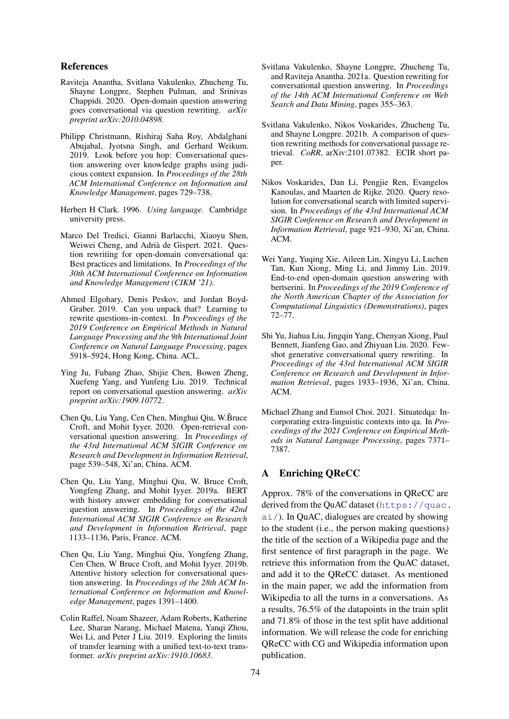## References

- <span id="page-4-4"></span>Raviteja Anantha, Svitlana Vakulenko, Zhucheng Tu, Shayne Longpre, Stephen Pulman, and Srinivas Chappidi. 2020. Open-domain question answering goes conversational via question rewriting. *arXiv preprint arXiv:2010.04898*.
- <span id="page-4-0"></span>Philipp Christmann, Rishiraj Saha Roy, Abdalghani Abujabal, Jyotsna Singh, and Gerhard Weikum. 2019. Look before you hop: Conversational question answering over knowledge graphs using judicious context expansion. In *Proceedings of the 28th ACM International Conference on Information and Knowledge Management*, pages 729–738.
- <span id="page-4-5"></span>Herbert H Clark. 1996. *Using language*. Cambridge university press.
- <span id="page-4-9"></span>Marco Del Tredici, Gianni Barlacchi, Xiaoyu Shen, Weiwei Cheng, and Adrià de Gispert. 2021. Question rewriting for open-domain conversational qa: Best practices and limitations. In *Proceedings of the 30th ACM International Conference on Information and Knowledge Management (CIKM '21)*.
- <span id="page-4-12"></span>Ahmed Elgohary, Denis Peskov, and Jordan Boyd-Graber. 2019. Can you unpack that? Learning to rewrite questions-in-context. In *Proceedings of the 2019 Conference on Empirical Methods in Natural Language Processing and the 9th International Joint Conference on Natural Language Processing*, pages 5918–5924, Hong Kong, China. ACL.
- <span id="page-4-1"></span>Ying Ju, Fubang Zhao, Shijie Chen, Bowen Zheng, Xuefeng Yang, and Yunfeng Liu. 2019. Technical report on conversational question answering. *arXiv preprint arXiv:1909.10772*.
- <span id="page-4-11"></span>Chen Qu, Liu Yang, Cen Chen, Minghui Qiu, W.Bruce Croft, and Mohit Iyyer. 2020. Open-retrieval conversational question answering. In *Proceedings of the 43rd International ACM SIGIR Conference on Research and Development in Information Retrieval*, page 539–548, Xi'an, China. ACM.
- <span id="page-4-10"></span>Chen Qu, Liu Yang, Minghui Qiu, W. Bruce Croft, Yongfeng Zhang, and Mohit Iyyer. 2019a. BERT with history answer embedding for conversational question answering. In *Proceedings of the 42nd International ACM SIGIR Conference on Research and Development in Information Retrieval*, page 1133–1136, Paris, France. ACM.
- <span id="page-4-2"></span>Chen Qu, Liu Yang, Minghui Qiu, Yongfeng Zhang, Cen Chen, W Bruce Croft, and Mohit Iyyer. 2019b. Attentive history selection for conversational question answering. In *Proceedings of the 28th ACM International Conference on Information and Knowledge Management*, pages 1391–1400.
- <span id="page-4-8"></span>Colin Raffel, Noam Shazeer, Adam Roberts, Katherine Lee, Sharan Narang, Michael Matena, Yanqi Zhou, Wei Li, and Peter J Liu. 2019. Exploring the limits of transfer learning with a unified text-to-text transformer. *arXiv preprint arXiv:1910.10683*.
- <span id="page-4-3"></span>Svitlana Vakulenko, Shayne Longpre, Zhucheng Tu, and Raviteja Anantha. 2021a. Question rewriting for conversational question answering. In *Proceedings of the 14th ACM International Conference on Web Search and Data Mining*, pages 355–363.
- <span id="page-4-15"></span>Svitlana Vakulenko, Nikos Voskarides, Zhucheng Tu, and Shayne Longpre. 2021b. A comparison of question rewriting methods for conversational passage retrieval. *CoRR*, arXiv:2101.07382. ECIR short paper.
- <span id="page-4-14"></span>Nikos Voskarides, Dan Li, Pengjie Ren, Evangelos Kanoulas, and Maarten de Rijke. 2020. Query resolution for conversational search with limited supervision. In *Proceedings of the 43rd International ACM SIGIR Conference on Research and Development in Information Retrieval*, page 921–930, Xi'an, China. ACM.
- <span id="page-4-7"></span>Wei Yang, Yuqing Xie, Aileen Lin, Xingyu Li, Luchen Tan, Kun Xiong, Ming Li, and Jimmy Lin. 2019. End-to-end open-domain question answering with bertserini. In *Proceedings of the 2019 Conference of the North American Chapter of the Association for Computational Linguistics (Demonstrations)*, pages 72–77.
- <span id="page-4-13"></span>Shi Yu, Jiahua Liu, Jingqin Yang, Chenyan Xiong, Paul Bennett, Jianfeng Gao, and Zhiyuan Liu. 2020. Fewshot generative conversational query rewriting. In *Proceedings of the 43rd International ACM SIGIR Conference on Research and Development in Information Retrieval*, pages 1933–1936, Xi'an, China. ACM.
- <span id="page-4-16"></span>Michael Zhang and Eunsol Choi. 2021. Situatedqa: Incorporating extra-linguistic contexts into qa. In *Proceedings of the 2021 Conference on Empirical Methods in Natural Language Processing*, pages 7371– 7387.

## <span id="page-4-6"></span>A Enriching QReCC

Approx. 78% of the conversations in QReCC are derived from the QuAC dataset ([https://quac.](https://quac.ai/)  $a_i$ ). In QuAC, dialogues are created by showing to the student (i.e., the person making questions) the title of the section of a Wikipedia page and the first sentence of first paragraph in the page. We retrieve this information from the QuAC dataset, and add it to the QReCC dataset. As mentioned in the main paper, we add the information from Wikipedia to all the turns in a conversations. As a results, 76.5% of the datapoints in the train split and 71.8% of those in the test split have additional information. We will release the code for enriching QReCC with CG and Wikipedia information upon publication.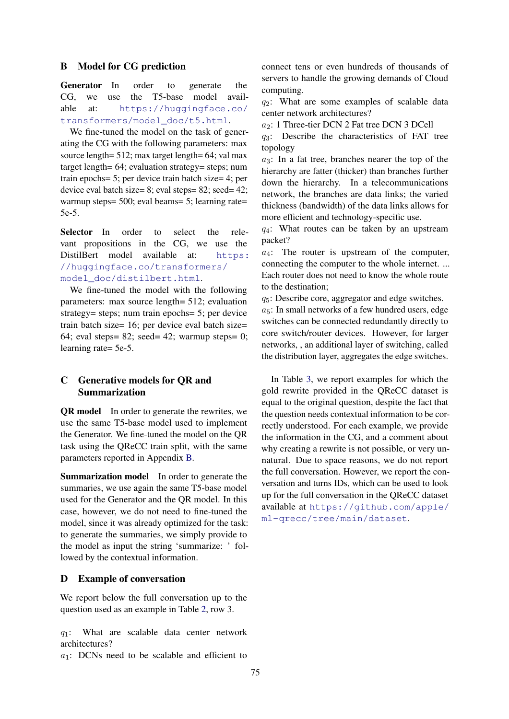## <span id="page-5-0"></span>B Model for CG prediction

Generator In order to generate the CG, we use the T5-base model available at: [https://huggingface.co/](https://huggingface.co/transformers/model_doc/t5.html) [transformers/model\\_doc/t5.html](https://huggingface.co/transformers/model_doc/t5.html).

We fine-tuned the model on the task of generating the CG with the following parameters: max source length= 512; max target length= 64; val max target length= 64; evaluation strategy= steps; num train epochs= 5; per device train batch size= 4; per device eval batch size= 8; eval steps= 82; seed= 42; warmup steps= 500; eval beams= 5; learning rate= 5e-5.

Selector In order to select the relevant propositions in the CG, we use the DistilBert model available at: [https:](https://huggingface.co/transformers/model_doc/distilbert.html) [//huggingface.co/transformers/](https://huggingface.co/transformers/model_doc/distilbert.html) [model\\_doc/distilbert.html](https://huggingface.co/transformers/model_doc/distilbert.html).

We fine-tuned the model with the following parameters: max source length= 512; evaluation strategy= steps; num train epochs= 5; per device train batch size= 16; per device eval batch size= 64; eval steps= 82; seed= 42; warmup steps= 0; learning rate= 5e-5.

## <span id="page-5-1"></span>C Generative models for QR and Summarization

QR model In order to generate the rewrites, we use the same T5-base model used to implement the Generator. We fine-tuned the model on the QR task using the QReCC train split, with the same parameters reported in Appendix [B.](#page-5-0)

Summarization model In order to generate the summaries, we use again the same T5-base model used for the Generator and the QR model. In this case, however, we do not need to fine-tuned the model, since it was already optimized for the task: to generate the summaries, we simply provide to the model as input the string 'summarize: ' followed by the contextual information.

## <span id="page-5-2"></span>D Example of conversation

We report below the full conversation up to the question used as an example in Table [2,](#page-3-0) row 3.

 $q_1$ : What are scalable data center network architectures?

 $a_1$ : DCNs need to be scalable and efficient to

connect tens or even hundreds of thousands of servers to handle the growing demands of Cloud computing.

 $q_2$ : What are some examples of scalable data center network architectures?

a2: 1 Three-tier DCN 2 Fat tree DCN 3 DCell

 $q_3$ : Describe the characteristics of FAT tree topology

 $a_3$ : In a fat tree, branches nearer the top of the hierarchy are fatter (thicker) than branches further down the hierarchy. In a telecommunications network, the branches are data links; the varied thickness (bandwidth) of the data links allows for more efficient and technology-specific use.

 $q_4$ : What routes can be taken by an upstream packet?

 $a_4$ : The router is upstream of the computer, connecting the computer to the whole internet. ... Each router does not need to know the whole route to the destination;

 $q_5$ : Describe core, aggregator and edge switches.

 $a_5$ : In small networks of a few hundred users, edge switches can be connected redundantly directly to core switch/router devices. However, for larger networks, , an additional layer of switching, called the distribution layer, aggregates the edge switches.

In Table [3,](#page-6-0) we report examples for which the gold rewrite provided in the QReCC dataset is equal to the original question, despite the fact that the question needs contextual information to be correctly understood. For each example, we provide the information in the CG, and a comment about why creating a rewrite is not possible, or very unnatural. Due to space reasons, we do not report the full conversation. However, we report the conversation and turns IDs, which can be used to look up for the full conversation in the QReCC dataset available at [https://github.com/apple/](https://github.com/apple/ml-qrecc/tree/main/dataset) [ml-qrecc/tree/main/dataset](https://github.com/apple/ml-qrecc/tree/main/dataset).